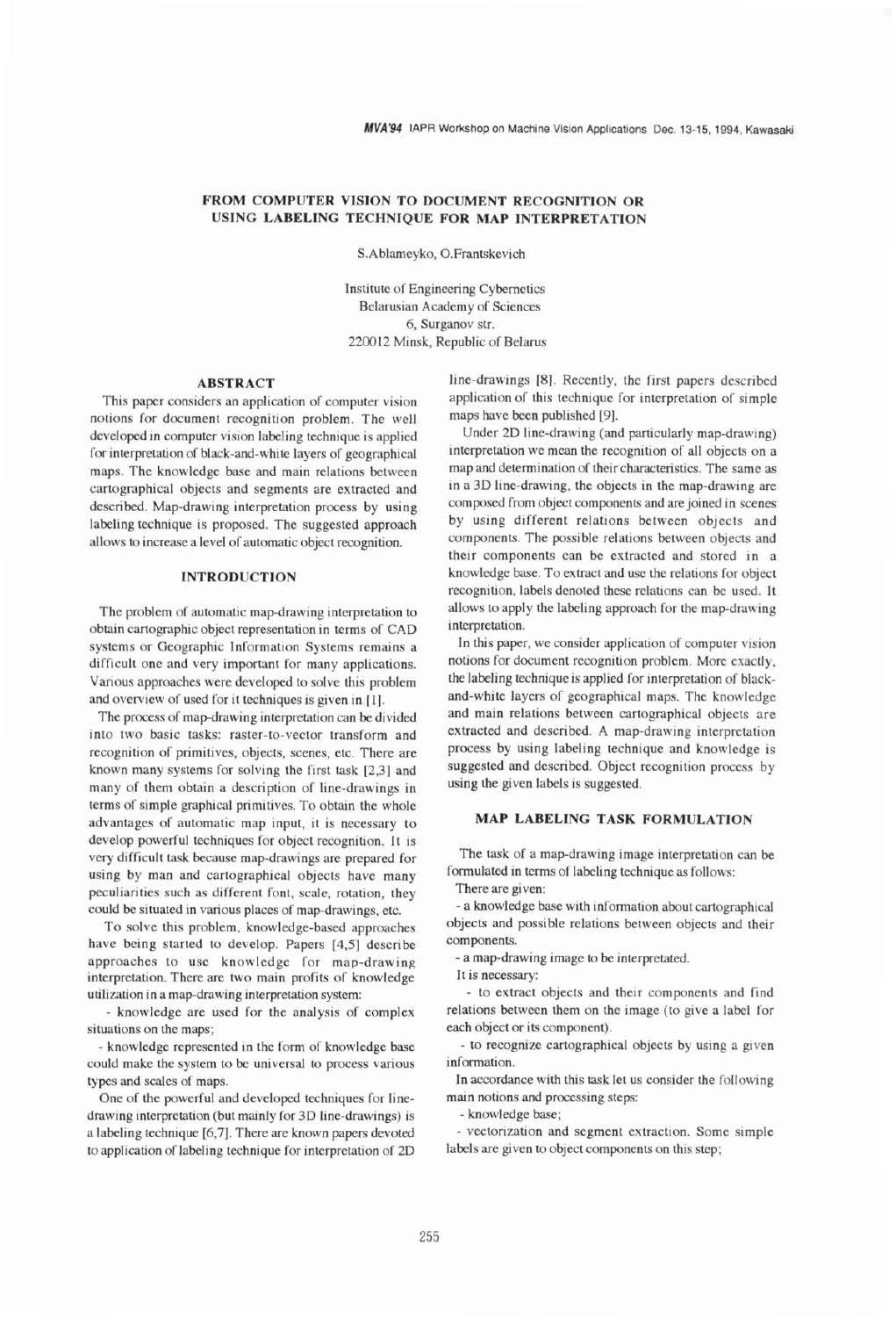# **FROM COMPUTER VISION TO DOCUMENT RECOGNITION OR USING LABELING TECHNIQUE FOR MAP INTERPRETATION**

S.Ablamevko, O.Frantskevich

Institute of Engineering Cybernetics Belarusian Academy of Sciences **6,** Surganov str. 220012 Minsk, Republic of Belarus

#### **ABSTRACT**

This paper considers an application of computer vision notions for document recognition problem. The well developed in computer vision labeling technique is applied for interpretation of black-and-white layers of geographical maps. The knowledge base and main relations between cartographical objects and segments are extracted and described. Map-drawing interpretation process by using labeling technique is proposed. The suggested approach allows to increase a level of automatic object recognition.

#### **INTRODUCTION**

The problem of automatic map-drawing interpretation to obtain cartographic object representation in terms of CAD systems or Geographic Information Systems remains a difficult one and very important for many applications. Various approaches were developed to solve this problem and overview of used for it techniques is given in.[l].

The process of map-drawing interpretation can be divided into two basic tasks: raster-to-vector transform and recognition of primitives, objects, scenes, etc. There are known many systems for solving the first task [2,3] and many of them obtain a description of line-drawings in terms of simple graphical primitives. To obtain the whole advantages of automatic map input, it is necessary to develop powerful techniques for object recognition. It is very difficult task because map-drawings are prepared for using by man and cartographical objects have many peculiarities such as different font, scale, rotation, they could be situated in various places of map-drawings, etc.

To solve this problem, knowledge-based approaches have being started to develop. Papers **[4,5]** describe approaches to use knowledge for map-drawing interpretation. There are two main profits of knowledge utilization in a map-drawing interpretation system:

- knowledge are used for the analysis of complex situations on the maps;

- knowledge represented in the form of knowledge base could make the system to be universal to process various types and scales of maps.

One of the powerful and developed techniques for linedrawing interpretation (but mainly for 3D line-drawings) is a labeling technique **[6,7.** There are known papers devoted to application of labeling technique for interpretation of **2D**  line-drawings [8]. Recently, the first papers described application of this technique for interpretation of simple maps have been published [9].

Under 2D line-drawing (and particularly map-drawing) interpretation we mean the recognition of all objects on a map and determination of their characteristics. The same as in a 3D line-drawing, the objects in the map-drawing are composed from object components and are joined in scenes by using different relations between objects and components. The possible relations between objects and their components can be extracted and stored in a knowledge base. To extract and use the relations for object recognition, labels denoted these relations can be used. It allows to apply the labeling approach for the map-drawing interpretation.

In this paper, we consider application of computer vision notions for document recognition problem. More exactly, the labeling technique is applied for interpretation of blackand-white layers of geographical maps. The knowledge and main relations between cartographical objects are extracted and described. A map-drawing interpretation process by using labeling technique and knowledge is suggested and described. Object recognition process by using the given labels is suggested.

## **MAP LABELING TASK FORMULATION**

The task of a map-drawing image interpretation can be formulated in terms of labeling technique as follows:

There are given:

- **a** knowledge base with information about cartographical objects and possible relations between objects and their components.

- a map-drawing image to be interpretated.

It is necessary:

- to extract objects and their components and find relations between them on the image (to give a label for each object or its component).

- to recognize cartographical objects by using a given information.

In accordance with this task let us consider the following main notions and processing steps:

- knowledge base;

- vectorization and segment extraction. Some simple labels are given to object components on this step;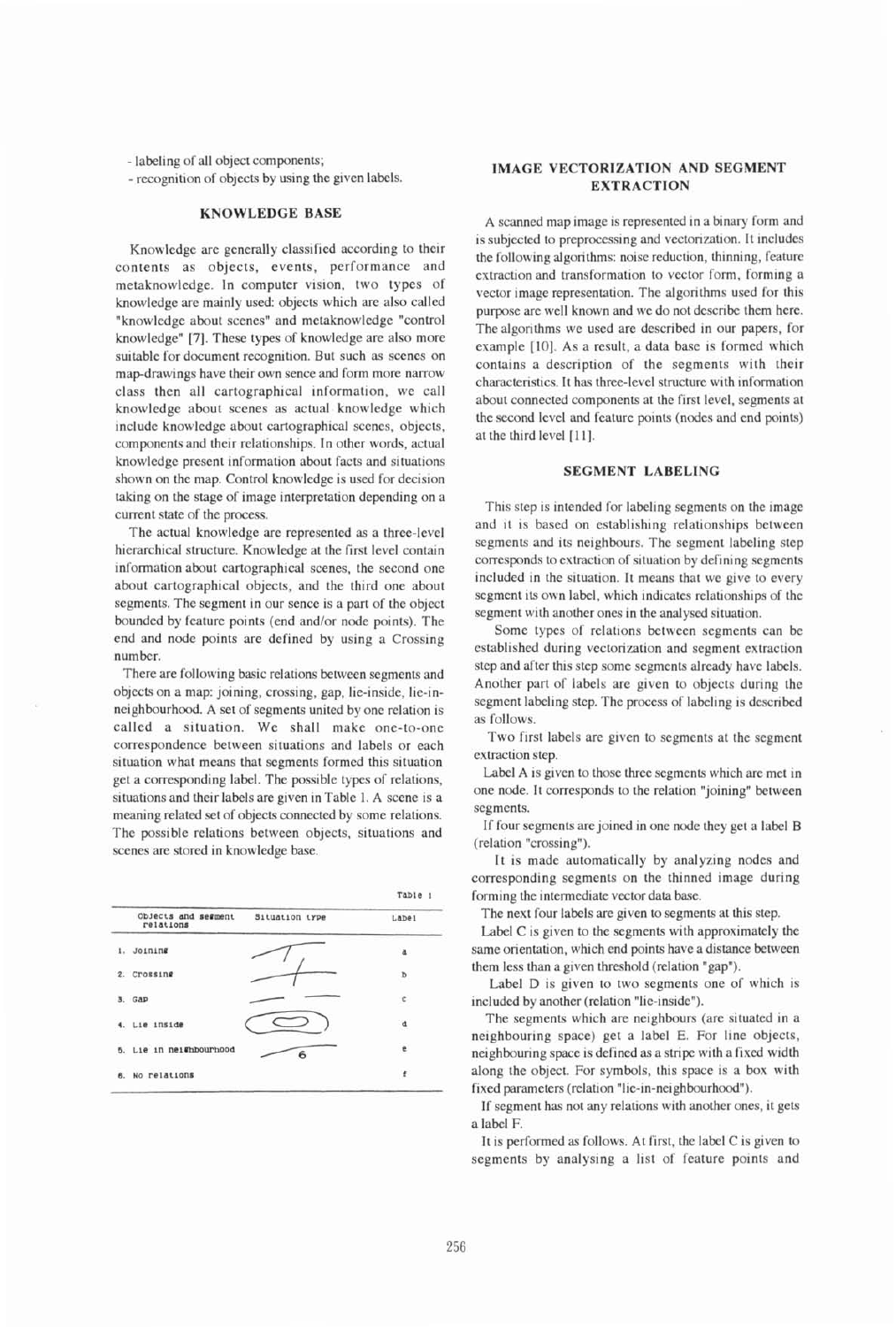- labeling of all object components;

- recognition of objects by using the given labels.

#### **KNOWLEDGE BASE**

Knowledge are generally classified according to their contents as objects, events, performance and metaknowledge. In computer vision, two types of knowledge are mainly used: objects which are also called "knowledge about scenes" and metaknowledge "control knowledge" **[7].** These types of knowledge are also more suitable for document recognition. But such **as** scenes on map-drawings have their own sence and form more narrow class then all cartographical information, we call knowledge about scenes as actual knowledge which include knowledge about cartographical scenes, objects, components and their relationships. In other words, actual knowledge present information about facts and situations shown on the map. Control knowledge is used for decision taking on the stage of image interpretation depending on a current state of the process.

The actual knowledge are represented as a three-level hierarchical structure. Knowledge at the first level contain information about cartographical scenes, the second one about cartographical objects, and the third one about segments. The segment in our sence is a part of the object bounded by feature points (end and/or node points). The end and node points are defined by using a Crossing number.

There are following basic relations between segments and objects on a map: joining, crossing, gap, lie-inside, lie-inneighbourhood. A set of segments united by one relation is called a situation. We shall make one-to-one correspondence between situations and labels or each situation what means that segments formed this situation get a corresponding label. The possible types of relations, situations and their labels are given in Table 1. A scene is a meaning related set of objects connected by some relations. The possible relations between objects, situations and scenes are stored in knowledge base.

|    |                                  |                | Table 1      |
|----|----------------------------------|----------------|--------------|
|    | Objects and segment<br>relations | Situation type | Labe1        |
|    | 1. Joining                       |                | $\tilde{a}$  |
|    | 2. Crossing                      |                | Þ            |
|    | 3. GAP                           |                | $\mathbb{C}$ |
|    | 4. Lie inside                    |                | đ            |
|    | 5. Lie in neighbourhood          |                | e            |
| 6. | No relations                     |                | ŧ            |

## **IMAGE VECTORIZATION AND SEGMENT EXTRACTION**

A scanned map image is represented in a binary form and is subjected to preprocessing and vectorization. It includes the following algorithms: noise reduction, thinning, feature extraction and transformation to vector form, forming a vector image representation. The algorithms used for this purpose are well known and we do not describe them here. The algorithms we used are described in our papers, for example [lo]. As a result, a data base is formed which contains a description of the segments with their characteristics. It has three-level structure with information about connected components at the first level, segments at the second level and feature points (nodes and end points) at the third level **[l 11.** 

## **SEGMENT LABELING**

This step is intended for labeling segments on the image and it is based on establishing relationships between segments and its neighbours. The segment labeling step corresponds to extraction of situation by defining segments included in the situation. It means that we give to every segment its own label, which indicates relationships of the segment with another ones in the analysed situation.

Some types of relations between segments can be established during vectorization and segment extraction step and after this step some segments already have labels. Another part of labels are given to objects during the segment labeling step. The process of labeling is described **as** follows.

Two first labels are given to segments at the segment extraction step.

Label A is given to those three segments which are met in one node. It corresponds to the relation "joining" between segments.

If four segments are joined in one node they get a label B (relation "crossing").

It is made automatically by analyzing nodes and corresponding segments on the thinned image during forming the intermediate vector data base.

The next four labels are given to segments at this step.

Label C is given to the segments with approximately the same orientation, which end points have a distance between them less than a given threshold (relation "gap").

Label D is given to two segments one of which is included by another (relation "lie-inside").

The segments which are neighbours (are situated in a neighbouring space) get a label E. For line objects, neighbouring space is defined as a stripe with a fixed width along the object. For symbols, this space is a box with fixed parameters (relation "lie-in-neighbourhood").

If segment has not any relations with another ones, it gets a label F.

It is performed as follows. At first, the label C is given to segments by analysing a list of feature points and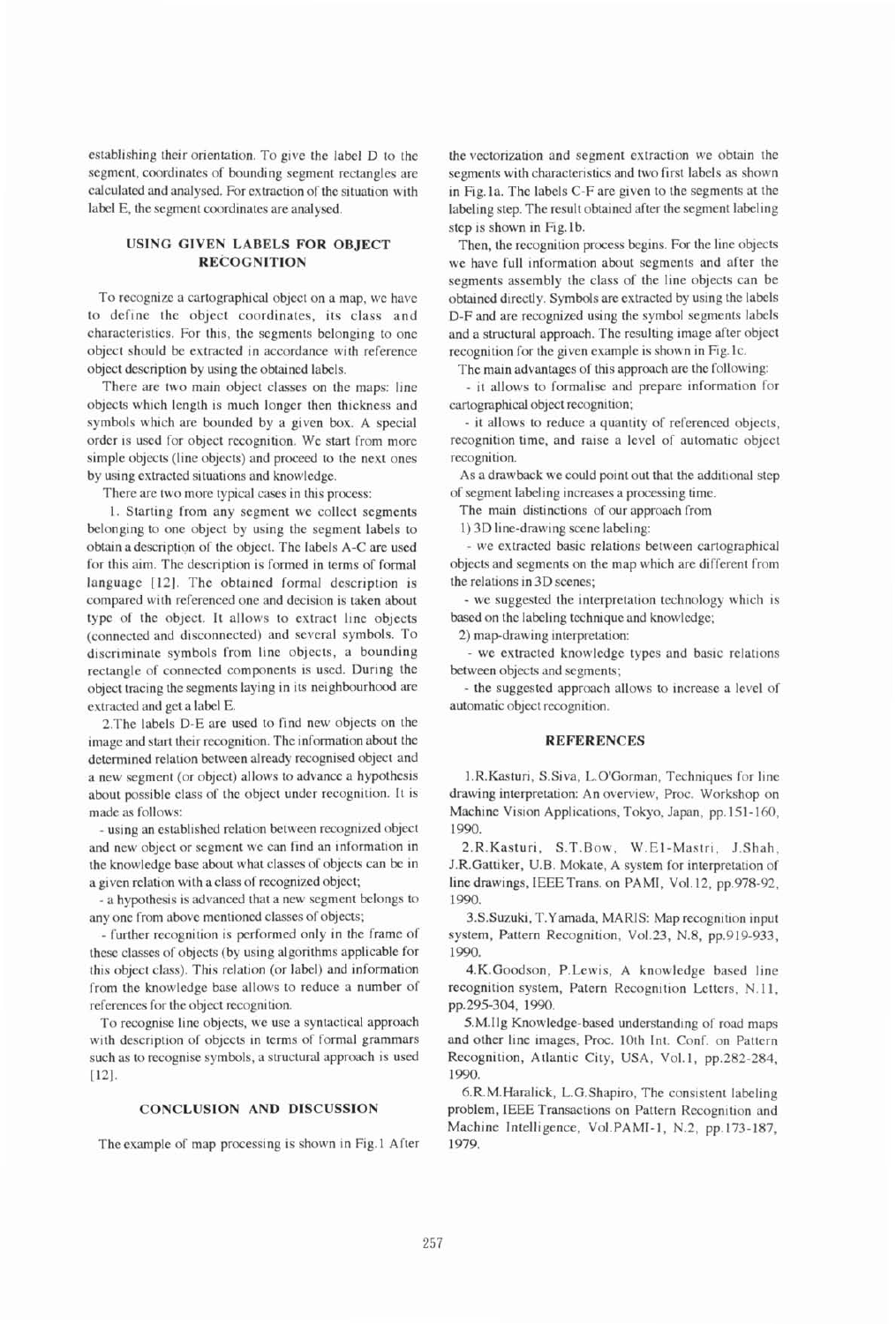establishing their orientation. To give the label D to the segment, coordinates of bounding segment rectangles are calculated and analysed. For extraction of the situation with label E, the segment coordinates are analysed.

## **USING GIVEN LABELS FOR OBJECT RECOGNITION**

To recognize a cartographical object on a map, we have to define the object coordinates, its class and characteristics. For this, the segments belonging to one object should be extracted in accordance with reference object description by using the obtained labels.

There are two main object classes on the maps: line objects which length is much longer then thickness and symbols which are bounded by a given box. A special order is used for object recognition. We start from more simple objects (line objects) and proceed to the next ones by using extracted situations and knowledge.

There are two more typical cases in this process:

1. Starting from any segment we collect segments belonging to one object by using the segment labels to obtain a description of the object. The labels A-C are used for this aim. The description is formed in terms of formal language [12]. The obtained formal description is compared with referenced one and decision is taken about type of the object. It allows to extract line objects (connected and disconnected) and several symbols. TO discriminate symbols from line objects, a bounding rectangle of connected components is used. During the object tracing the segments laying in its neighbourhood are extracted and get a label E.

2.The labels D-E are used to find new objects on the image and start their recognition. The information about the determined relation between already recognised object and a new segment (or object) allows to advance a hypothesis about possible class of the object under recognition. It is made as follows:

- using an established relation between recognized object and new object or segment we can find an information in the knowledgc base about what classes of objects can be in a given relation with aclass of recognized object;

- a hypothesis is advanced that a new segment belongs to any one from above mentioned classes of objects;

- further recognition is performed only in the frame of these classes of objects (by using algorithms applicable for this object class). This relation (or label) and information from the knowledgc base allows to reduce a number of references for the object recognition.

To recognise line objects, we use a syntactical approach with description of objects in terms of formal grammars such as to recognise symbols, a structural approach is used [12].

#### **CONCLUSION AND DISCUSSION**

The example of map processing is shown in Fig. 1 After

the vectorization and segment extraction we obtain the segments with characteristics and two first labels as shown in Fig. la. The labels C-F are given to the segments at the labeling step. The result obtained after the segment labeling step is shown in Fig.lb.

Then, the recognition process begins. For the line objects we have full information about segments and after the segments assembly the class of the line objects can be obtained directly. Symbols are extracted by using the labels D-F and are recognized using the symbol segments labels and a structural approach. The resulting image after object recognition for the given example is shown in Fig. lc.

The main advantages of this approach are the following:

- it allows to formalise and prepare information for cartographical object recognition;

- it allows to reduce a quantity of referenced objects, recognition time, and raise a level of automatic object recognition.

As a drawback we could point out that the additional step of segment labeling increases a processing time.

The main distinctions of our approach from

1) 3D line-drawing scene labeling:

- we extracted basic relations between cartographical objects and segments on the map which are different from the relations in 3D scenes;

- we suggested the interpretation technology which is based on the labeling technique and knowledge;

2) map-drawing interpretation:

- we extracted knowledge types and basic relations between objects and segments;

- the suggested approach allows to increase a level of automatic object recognition.

#### **REFERENCES**

1.R.Kasturi, S.Siva, L.O'Gorman, Techniques for line drawing interpretation: An overview, Proc. Workshop on Machine Vision Applications, Tokyo, Japan, pp. 151-160, 1990.

2.R.Kasturi, S.T.Bow, W.El-Mastri, J.Shah, J.R.Gattiker, U.B. Mokate, A system for interpretation of line drawings, IEEE Trans. on PAMI, Vol. 12, pp.978-92, 1990.

3.S.Suzuki, T.Yamada, MARIS: Map recognition input system, Pattern Recognition, Vo1.23, **N.8,** pp.919-933, 1990.

4.K.Goodson. P.Lewis, A knowledge based line recognition system, Patern Recognition Letters, N.11, pp.295-304, 1990.

5.M.Ilg Knowledge-based understanding of road maps and other line images, **Proc.** 10th Int. Conf. on Pattern Recognition, Atlantic City, USA, Vol.1, pp.282-284, 1990.

6.R.M.Haralick, L.G.Shapiro, The consistent labeling problem, IEEE Transactions on Pattern Recognition and Machine Intelligence, Vol.PAM1-1, N.2, pp.173-187, 1979.